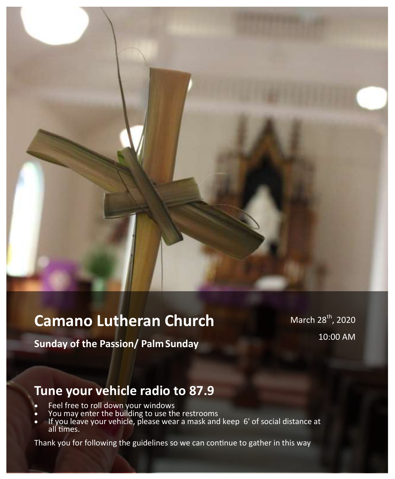# **Camano Lutheran Church**

March 28<sup>th</sup>, 2020 10:00 AM

**Sunday of the Passion/ PalmSunday** 

# **Tune your vehicle radio to 87.9**

- Feel free to roll down your windows
- You may enter the building to use the restrooms
- If you leave your vehicle, please wear a mask and keep 6' of social distance at all times.

Thank you for following the guidelines so we can continue to gather in this way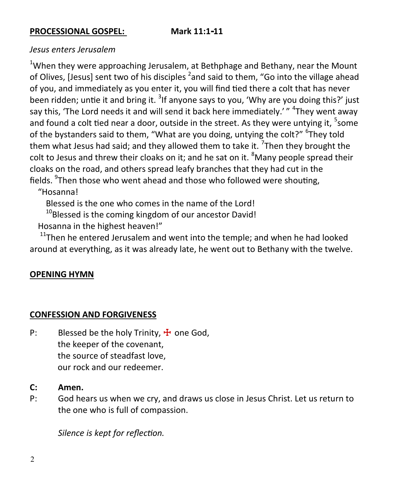#### **PROCESSIONAL GOSPEL: Mark 11:1-11**

## *Jesus enters Jerusalem*

<sup>1</sup>When they were approaching Jerusalem, at Bethphage and Bethany, near the Mount of Olives, [Jesus] sent two of his disciples <sup>2</sup>and said to them, "Go into the village ahead of you, and immediately as you enter it, you will find tied there a colt that has never been ridden; untie it and bring it. <sup>3</sup>If anyone says to you, 'Why are you doing this?' just say this, 'The Lord needs it and will send it back here immediately.' " <sup>4</sup>They went away and found a colt tied near a door, outside in the street. As they were untying it, <sup>5</sup>some of the bystanders said to them, "What are you doing, untying the colt?" <sup>6</sup>They told them what Jesus had said; and they allowed them to take it. <sup>7</sup>Then they brought the colt to Jesus and threw their cloaks on it; and he sat on it.  $8$ Many people spread their cloaks on the road, and others spread leafy branches that they had cut in the fields. <sup>9</sup>Then those who went ahead and those who followed were shouting,

"Hosanna!

Blessed is the one who comes in the name of the Lord!

 $10B$ lessed is the coming kingdom of our ancestor David! Hosanna in the highest heaven!"

 $11$ <sup>Then</sup> he entered Jerusalem and went into the temple; and when he had looked around at everything, as it was already late, he went out to Bethany with the twelve.

## **OPENING HYMN**

#### **CONFESSION AND FORGIVENESS**

- P: Blessed be the holy Trinity,  $\frac{1}{T}$  one God, the keeper of the covenant, the source of steadfast love, our rock and our redeemer.
- **C: Amen.**
- P: God hears us when we cry, and draws us close in Jesus Christ. Let us return to the one who is full of compassion.

*Silence is kept for reflection.*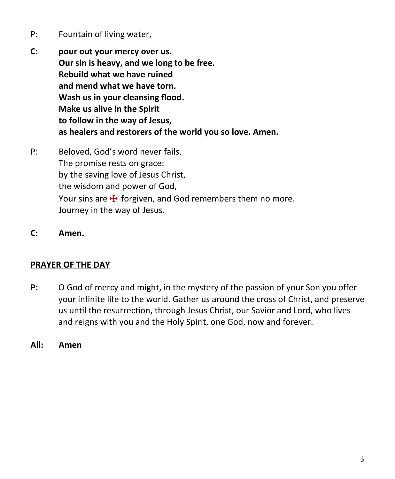- P: Fountain of living water,
- **C: pour out your mercy over us. Our sin is heavy, and we long to be free. Rebuild what we have ruined and mend what we have torn. Wash us in your cleansing flood. Make us alive in the Spirit to follow in the way of Jesus, as healers and restorers of the world you so love. Amen.**
- P: Beloved, God's word never fails. The promise rests on grace: by the saving love of Jesus Christ, the wisdom and power of God, Your sins are  $\frac{1}{2}$  forgiven, and God remembers them no more. Journey in the way of Jesus.
- **C: Amen.**

# **PRAYER OF THE DAY**

- **P:** O God of mercy and might, in the mystery of the passion of your Son you offer your infinite life to the world. Gather us around the cross of Christ, and preserve us until the resurrection, through Jesus Christ, our Savior and Lord, who lives and reigns with you and the Holy Spirit, one God, now and forever.
- **All: Amen**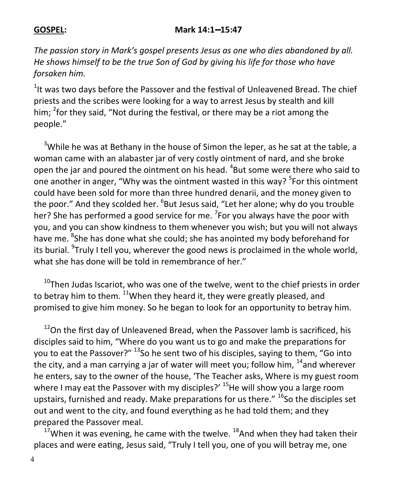## **GOSPEL: Mark 14:1--15:47**

*The passion story in Mark's gospel presents Jesus as one who dies abandoned by all. He shows himself to be the true Son of God by giving his life for those who have forsaken him.*

 $1$ It was two days before the Passover and the festival of Unleavened Bread. The chief priests and the scribes were looking for a way to arrest Jesus by stealth and kill him; <sup>2</sup>for they said, "Not during the festival, or there may be a riot among the people."

 $3$ While he was at Bethany in the house of Simon the leper, as he sat at the table, a woman came with an alabaster jar of very costly ointment of nard, and she broke open the jar and poured the ointment on his head. <sup>4</sup>But some were there who said to one another in anger, "Why was the ointment wasted in this way? <sup>5</sup>For this ointment could have been sold for more than three hundred denarii, and the money given to the poor." And they scolded her. <sup>6</sup>But Jesus said, "Let her alone; why do you trouble her? She has performed a good service for me. <sup>7</sup>For you always have the poor with you, and you can show kindness to them whenever you wish; but you will not always have me. <sup>8</sup>She has done what she could; she has anointed my body beforehand for its burial. <sup>9</sup>Truly I tell you, wherever the good news is proclaimed in the whole world, what she has done will be told in remembrance of her."

 $10$ Then Judas Iscariot, who was one of the twelve, went to the chief priests in order to betray him to them. <sup>11</sup>When they heard it, they were greatly pleased, and promised to give him money. So he began to look for an opportunity to betray him.

 $12$ On the first day of Unleavened Bread, when the Passover lamb is sacrificed, his disciples said to him, "Where do you want us to go and make the preparations for you to eat the Passover?" <sup>13</sup>So he sent two of his disciples, saying to them, "Go into the city, and a man carrying a jar of water will meet you; follow him,  $14$  and wherever he enters, say to the owner of the house, 'The Teacher asks, Where is my guest room where I may eat the Passover with my disciples?'  $^{15}$ He will show you a large room upstairs, furnished and ready. Make preparations for us there."  $^{16}$ So the disciples set out and went to the city, and found everything as he had told them; and they prepared the Passover meal.

 $17$ When it was evening, he came with the twelve.  $18$ And when they had taken their places and were eating, Jesus said, "Truly I tell you, one of you will betray me, one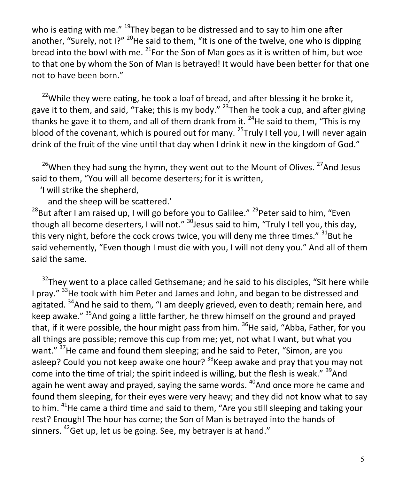who is eating with me."  $^{19}$ They began to be distressed and to say to him one after another, "Surely, not  $12^{n}$  <sup>20</sup>He said to them, "It is one of the twelve, one who is dipping bread into the bowl with me.  $^{21}$ For the Son of Man goes as it is written of him, but woe to that one by whom the Son of Man is betrayed! It would have been better for that one not to have been born."

 $22$ While they were eating, he took a loaf of bread, and after blessing it he broke it, gave it to them, and said, "Take; this is my body."  $^{23}$ Then he took a cup, and after giving thanks he gave it to them, and all of them drank from it.  $^{24}$ He said to them, "This is my blood of the covenant, which is poured out for many.  $25$ Truly I tell you, I will never again drink of the fruit of the vine until that day when I drink it new in the kingdom of God."

 $26$ When they had sung the hymn, they went out to the Mount of Olives.  $27$ And Jesus said to them, "You will all become deserters; for it is written,

'I will strike the shepherd,

and the sheep will be scattered.'

<sup>28</sup>But after I am raised up, I will go before you to Galilee." <sup>29</sup> Peter said to him, "Even though all become deserters, I will not."  $30$  Jesus said to him, "Truly I tell you, this day, this very night, before the cock crows twice, you will deny me three times."  $31$ But he said vehemently, "Even though I must die with you, I will not deny you." And all of them said the same.

 $32$ They went to a place called Gethsemane; and he said to his disciples, "Sit here while I pray." <sup>33</sup>He took with him Peter and James and John, and began to be distressed and agitated. <sup>34</sup>And he said to them, "I am deeply grieved, even to death; remain here, and keep awake." <sup>35</sup>And going a little farther, he threw himself on the ground and prayed that, if it were possible, the hour might pass from him.  $36$ He said, "Abba, Father, for you all things are possible; remove this cup from me; yet, not what I want, but what you want." <sup>37</sup>He came and found them sleeping; and he said to Peter, "Simon, are you asleep? Could you not keep awake one hour?  $38$ Keep awake and pray that you may not come into the time of trial; the spirit indeed is willing, but the flesh is weak."  $39$ And again he went away and prayed, saying the same words.  $40A$ nd once more he came and found them sleeping, for their eyes were very heavy; and they did not know what to say to him. <sup>41</sup>He came a third time and said to them, "Are you still sleeping and taking your rest? Enough! The hour has come; the Son of Man is betrayed into the hands of sinners.  $42$  Get up, let us be going. See, my betrayer is at hand."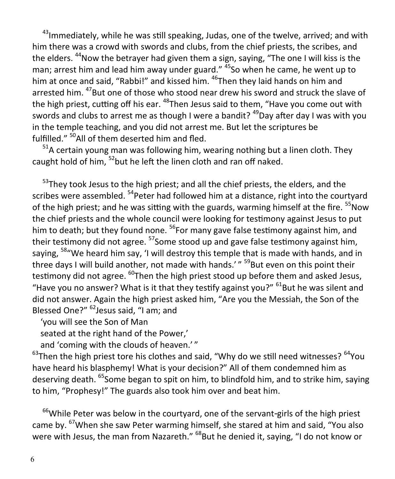$43$ Immediately, while he was still speaking, Judas, one of the twelve, arrived; and with him there was a crowd with swords and clubs, from the chief priests, the scribes, and the elders. <sup>44</sup>Now the betrayer had given them a sign, saying, "The one I will kiss is the man; arrest him and lead him away under guard." <sup>45</sup>So when he came, he went up to him at once and said, "Rabbi!" and kissed him. <sup>46</sup>Then they laid hands on him and arrested him. <sup>47</sup>But one of those who stood near drew his sword and struck the slave of the high priest, cutting off his ear. <sup>48</sup>Then Jesus said to them, "Have you come out with swords and clubs to arrest me as though I were a bandit?  $49$ Day after day I was with you in the temple teaching, and you did not arrest me. But let the scriptures be fulfilled." <sup>50</sup>All of them deserted him and fled.

 $51A$  certain young man was following him, wearing nothing but a linen cloth. They caught hold of him,  $52$  but he left the linen cloth and ran off naked.

<sup>53</sup>Thev took Jesus to the high priest; and all the chief priests, the elders, and the scribes were assembled. <sup>54</sup>Peter had followed him at a distance, right into the courtyard of the high priest; and he was sitting with the guards, warming himself at the fire.  $55$ Now the chief priests and the whole council were looking for testimony against Jesus to put him to death; but they found none.  $56$  For many gave false testimony against him, and their testimony did not agree. <sup>57</sup>Some stood up and gave false testimony against him, saying, <sup>58</sup> We heard him say, 'I will destroy this temple that is made with hands, and in three days I will build another, not made with hands.'" <sup>59</sup>But even on this point their testimony did not agree. <sup>60</sup>Then the high priest stood up before them and asked Jesus, "Have you no answer? What is it that they testify against you?"  $61$ But he was silent and did not answer. Again the high priest asked him, "Are you the Messiah, the Son of the Blessed One?" <sup>62</sup> Jesus said, "I am; and

'you will see the Son of Man

seated at the right hand of the Power,'

and 'coming with the clouds of heaven.'"

 $^{63}$ Then the high priest tore his clothes and said, "Why do we still need witnesses?  $^{64}$ You have heard his blasphemy! What is your decision?" All of them condemned him as deserving death. <sup>65</sup>Some began to spit on him, to blindfold him, and to strike him, saying to him, "Prophesy!" The guards also took him over and beat him.

 $66$ While Peter was below in the courtyard, one of the servant-girls of the high priest came by. <sup>67</sup>When she saw Peter warming himself, she stared at him and said, "You also were with Jesus, the man from Nazareth."  $^{68}$ But he denied it, saying, "I do not know or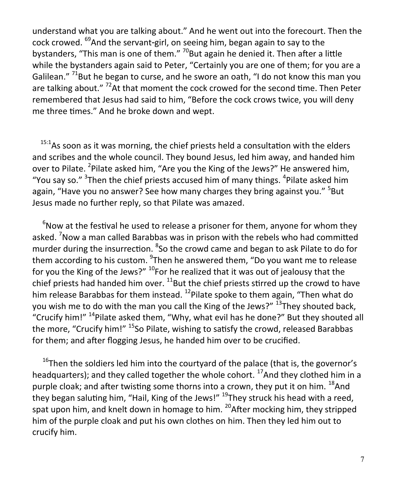understand what you are talking about." And he went out into the forecourt. Then the cock crowed. <sup>69</sup>And the servant-girl, on seeing him, began again to say to the bystanders, "This man is one of them."  $^{70}$ But again he denied it. Then after a little while the bystanders again said to Peter, "Certainly you are one of them; for you are a Galilean." <sup>71</sup>But he began to curse, and he swore an oath, "I do not know this man you are talking about."<sup>72</sup>At that moment the cock crowed for the second time. Then Peter remembered that Jesus had said to him, "Before the cock crows twice, you will deny me three times." And he broke down and wept.

 $15:1$ As soon as it was morning, the chief priests held a consultation with the elders and scribes and the whole council. They bound Jesus, led him away, and handed him over to Pilate. <sup>2</sup>Pilate asked him, "Are you the King of the Jews?" He answered him, "You say so."  $3$ Then the chief priests accused him of many things.  $4$ Pilate asked him again, "Have you no answer? See how many charges they bring against you." <sup>5</sup>But Jesus made no further reply, so that Pilate was amazed.

 $6$ Now at the festival he used to release a prisoner for them, anyone for whom they asked. <sup>7</sup>Now a man called Barabbas was in prison with the rebels who had committed murder during the insurrection. <sup>8</sup>So the crowd came and began to ask Pilate to do for them according to his custom. <sup>9</sup>Then he answered them, "Do you want me to release for you the King of the Jews?"  $^{10}$ For he realized that it was out of jealousy that the chief priests had handed him over.  $^{11}$ But the chief priests stirred up the crowd to have him release Barabbas for them instead.  $^{12}$ Pilate spoke to them again, "Then what do you wish me to do with the man you call the King of the Jews?"  $^{13}$ They shouted back, "Crucify him!" <sup>14</sup>Pilate asked them, "Why, what evil has he done?" But they shouted all the more, "Crucify him!"  $^{15}$ So Pilate, wishing to satisfy the crowd, released Barabbas for them; and after flogging Jesus, he handed him over to be crucified.

 $16$ Then the soldiers led him into the courtyard of the palace (that is, the governor's headquarters); and they called together the whole cohort. <sup>17</sup>And they clothed him in a purple cloak; and after twisting some thorns into a crown, they put it on him.  $^{18}$ And they began saluting him, "Hail, King of the Jews!"  $^{19}$ They struck his head with a reed, spat upon him, and knelt down in homage to him.  $^{20}$ After mocking him, they stripped him of the purple cloak and put his own clothes on him. Then they led him out to crucify him.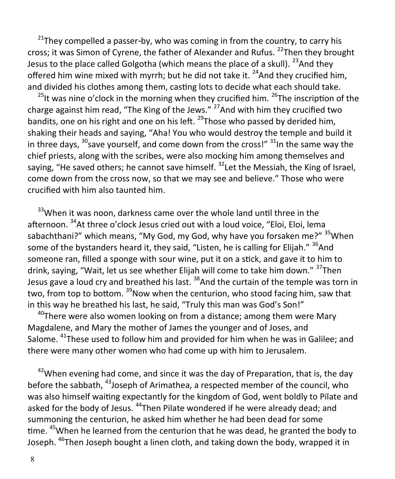$21$ They compelled a passer-by, who was coming in from the country, to carry his cross; it was Simon of Cyrene, the father of Alexander and Rufus.  $^{22}$ Then they brought Jesus to the place called Golgotha (which means the place of a skull).  $^{23}$ And they offered him wine mixed with myrrh; but he did not take it.  $^{24}$ And they crucified him, and divided his clothes among them, casting lots to decide what each should take.

 $^{25}$ It was nine o'clock in the morning when they crucified him.  $^{26}$ The inscription of the charge against him read, "The King of the Jews."  $27$  And with him they crucified two bandits, one on his right and one on his left.  $^{29}$ Those who passed by derided him, shaking their heads and saying, "Aha! You who would destroy the temple and build it in three days,  $30$  save yourself, and come down from the cross!"  $31$ In the same way the chief priests, along with the scribes, were also mocking him among themselves and saying, "He saved others; he cannot save himself.  $32$  Let the Messiah, the King of Israel, come down from the cross now, so that we may see and believe." Those who were crucified with him also taunted him.

<sup>33</sup>When it was noon, darkness came over the whole land until three in the afternoon. <sup>34</sup>At three o'clock Jesus cried out with a loud voice, "Eloi, Eloi, lema sabachthani?" which means, "My God, my God, why have you forsaken me?" <sup>35</sup>When some of the bystanders heard it, they said, "Listen, he is calling for Elijah." <sup>36</sup>And someone ran, filled a sponge with sour wine, put it on a stick, and gave it to him to drink, saying, "Wait, let us see whether Elijah will come to take him down." <sup>37</sup>Then Jesus gave a loud cry and breathed his last. <sup>38</sup>And the curtain of the temple was torn in two. from top to bottom. <sup>39</sup>Now when the centurion, who stood facing him, saw that in this way he breathed his last, he said, "Truly this man was God's Son!"

 $40$ There were also women looking on from a distance; among them were Mary Magdalene, and Mary the mother of James the younger and of Joses, and Salome. <sup>41</sup>These used to follow him and provided for him when he was in Galilee; and there were many other women who had come up with him to Jerusalem.

 $42$ When evening had come, and since it was the day of Preparation, that is, the day before the sabbath, <sup>43</sup> Joseph of Arimathea, a respected member of the council, who was also himself waiting expectantly for the kingdom of God, went boldly to Pilate and asked for the body of Jesus. <sup>44</sup>Then Pilate wondered if he were already dead; and summoning the centurion, he asked him whether he had been dead for some time. <sup>45</sup>When he learned from the centurion that he was dead, he granted the body to Joseph. <sup>46</sup>Then Joseph bought a linen cloth, and taking down the body, wrapped it in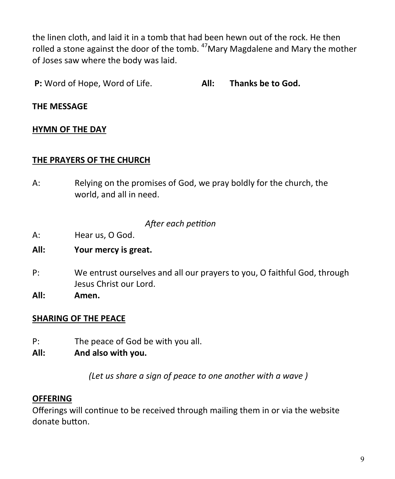the linen cloth, and laid it in a tomb that had been hewn out of the rock. He then rolled a stone against the door of the tomb.  $47$ Mary Magdalene and Mary the mother of Joses saw where the body was laid.

**P:** Word of Hope, Word of Life. **All: Thanks be to God.**

## **THE MESSAGE**

## **HYMN OF THE DAY**

#### **THE PRAYERS OF THE CHURCH**

A: Relying on the promises of God, we pray boldly for the church, the world, and all in need.

## *After each petition*

A: Hear us, O God.

### **All: Your mercy is great.**

- P: We entrust ourselves and all our prayers to you, O faithful God, through Jesus Christ our Lord.
- **All: Amen.**

## **SHARING OF THE PEACE**

- P: The peace of God be with you all.
- **All: And also with you.**

*(Let us share a sign of peace to one another with a wave )*

## **OFFERING**

Offerings will continue to be received through mailing them in or via the website donate button.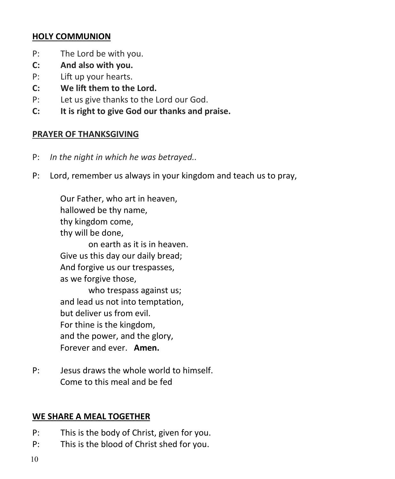## **HOLY COMMUNION**

- P: The Lord be with you.
- **C: And also with you.**
- P: Lift up your hearts.
- **C: We lift them to the Lord.**
- P: Let us give thanks to the Lord our God.
- **C: It is right to give God our thanks and praise.**

# **PRAYER OF THANKSGIVING**

- P: *In the night in which he was betrayed..*
- P: Lord, remember us always in your kingdom and teach us to pray,

Our Father, who art in heaven, hallowed be thy name, thy kingdom come, thy will be done,

on earth as it is in heaven. Give us this day our daily bread; And forgive us our trespasses, as we forgive those,

who trespass against us; and lead us not into temptation, but deliver us from evil. For thine is the kingdom, and the power, and the glory, Forever and ever. **Amen.**

P: Jesus draws the whole world to himself. Come to this meal and be fed

# **WE SHARE A MEAL TOGETHER**

- P: This is the body of Christ, given for you.
- P: This is the blood of Christ shed for you.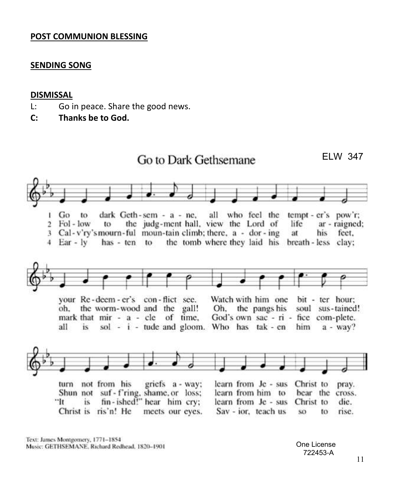#### **POST COMMUNION BLESSING**

#### **SENDING SONG**

#### **DISMISSAL**

- L: Go in peace. Share the good news.
- **C: Thanks be to God.**



Text: James Montgomery, 1771-1854 Music: GETHSEMANE, Richard Redhead, 1820-1901

One License 722453-A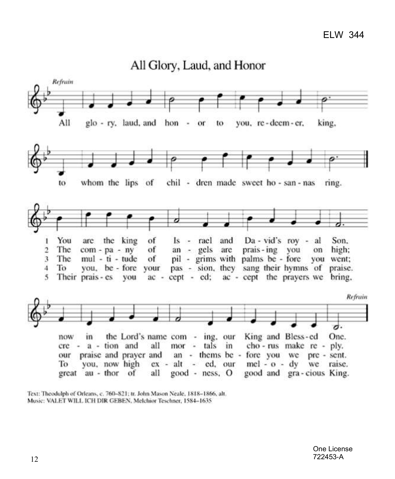

All Glory, Laud, and Honor

Text: Theodulph of Orleans, c. 760-821; tr. John Mason Neale, 1818-1866, alt. Music: VALET WILL ICH DIR GEBEN, Melchior Teschner, 1584-1635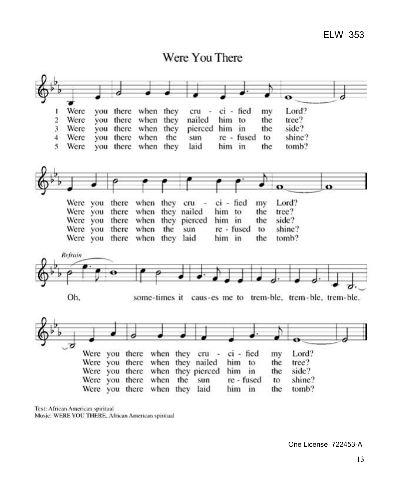

Text: African American spiritual Music: WERE YOU THERE, African American spiritual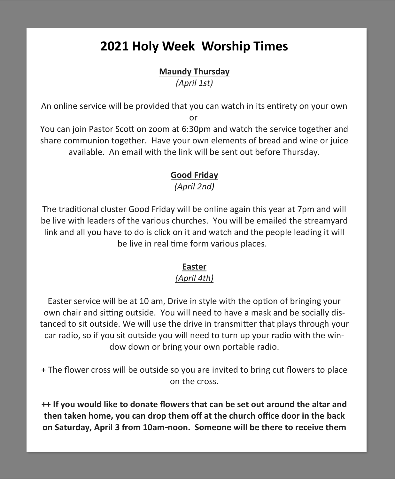# **2021 Holy Week Worship Times**

# **Maundy Thursday**

*(April 1st)*

An online service will be provided that you can watch in its entirety on your own or

You can join Pastor Scott on zoom at 6:30pm and watch the service together and share communion together. Have your own elements of bread and wine or juice available. An email with the link will be sent out before Thursday.

# **Good Friday**

*(April 2nd)*

The traditional cluster Good Friday will be online again this year at 7pm and will be live with leaders of the various churches. You will be emailed the streamyard link and all you have to do is click on it and watch and the people leading it will be live in real time form various places.

# **Easter**

# *(April 4th)*

Easter service will be at 10 am, Drive in style with the option of bringing your own chair and sitting outside. You will need to have a mask and be socially distanced to sit outside. We will use the drive in transmitter that plays through your car radio, so if you sit outside you will need to turn up your radio with the window down or bring your own portable radio.

+ The flower cross will be outside so you are invited to bring cut flowers to place on the cross.

**++ If you would like to donate flowers that can be set out around the altar and then taken home, you can drop them off at the church office door in the back on Saturday, April 3 from 10am-noon. Someone will be there to receive them**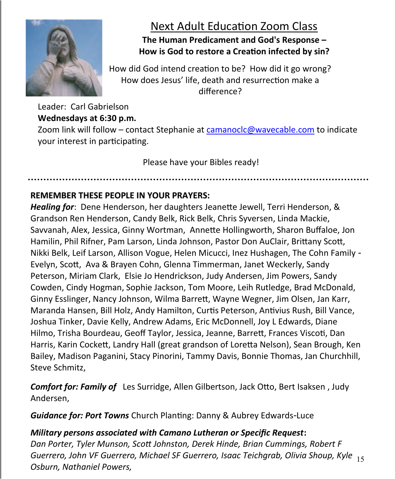

# Next Adult Education Zoom Class

# **The Human Predicament and God's Response – How is God to restore a Creation infected by sin?**

How did God intend creation to be? How did it go wrong? How does Jesus' life, death and resurrection make a difference?

Leader: Carl Gabrielson **Wednesdays at 6:30 p.m.** Zoom link will follow – contact Stephanie at [camanoclc@wavecable.com](mailto:camanoclc@wavecable.com) to indicate your interest in participating.

Please have your Bibles ready!

# **REMEMBER THESE PEOPLE IN YOUR PRAYERS:**

*Healing for*: Dene Henderson, her daughters Jeanette Jewell, Terri Henderson, & Grandson Ren Henderson, Candy Belk, Rick Belk, Chris Syversen, Linda Mackie, Savvanah, Alex, Jessica, Ginny Wortman, Annette Hollingworth, Sharon Buffaloe, Jon Hamilin, Phil Rifner, Pam Larson, Linda Johnson, Pastor Don AuClair, Brittany Scott, Nikki Belk, Leif Larson, Allison Vogue, Helen Micucci, Inez Hushagen, The Cohn Family - Evelyn, Scott, Ava & Brayen Cohn, Glenna Timmerman, Janet Weckerly, Sandy Peterson, Miriam Clark, Elsie Jo Hendrickson, Judy Andersen, Jim Powers, Sandy Cowden, Cindy Hogman, Sophie Jackson, Tom Moore, Leih Rutledge, Brad McDonald, Ginny Esslinger, Nancy Johnson, Wilma Barrett, Wayne Wegner, Jim Olsen, Jan Karr, Maranda Hansen, Bill Holz, Andy Hamilton, Curtis Peterson, Antivius Rush, Bill Vance, Joshua Tinker, Davie Kelly, Andrew Adams, Eric McDonnell, Joy L Edwards, Diane Hilmo, Trisha Bourdeau, Geoff Taylor, Jessica, Jeanne, Barrett, Frances Viscoti, Dan Harris, Karin Cockett, Landry Hall (great grandson of Loretta Nelson), Sean Brough, Ken Bailey, Madison Paganini, Stacy Pinorini, Tammy Davis, Bonnie Thomas, Jan Churchhill, Steve Schmitz,

*Comfort for: Family of* Les Surridge, Allen Gilbertson, Jack Otto, Bert Isaksen , Judy Andersen,

*Guidance for: Port Towns* Church Planting: Danny & Aubrey Edwards-Luce

# *Military persons associated with Camano Lutheran or Specific Request***:**

15 *Guerrero, John VF Guerrero, Michael SF Guerrero, Isaac Teichgrab, Olivia Shoup, Kyle Dan Porter, Tyler Munson, Scott Johnston, Derek Hinde, Brian Cummings, Robert F Osburn, Nathaniel Powers,*